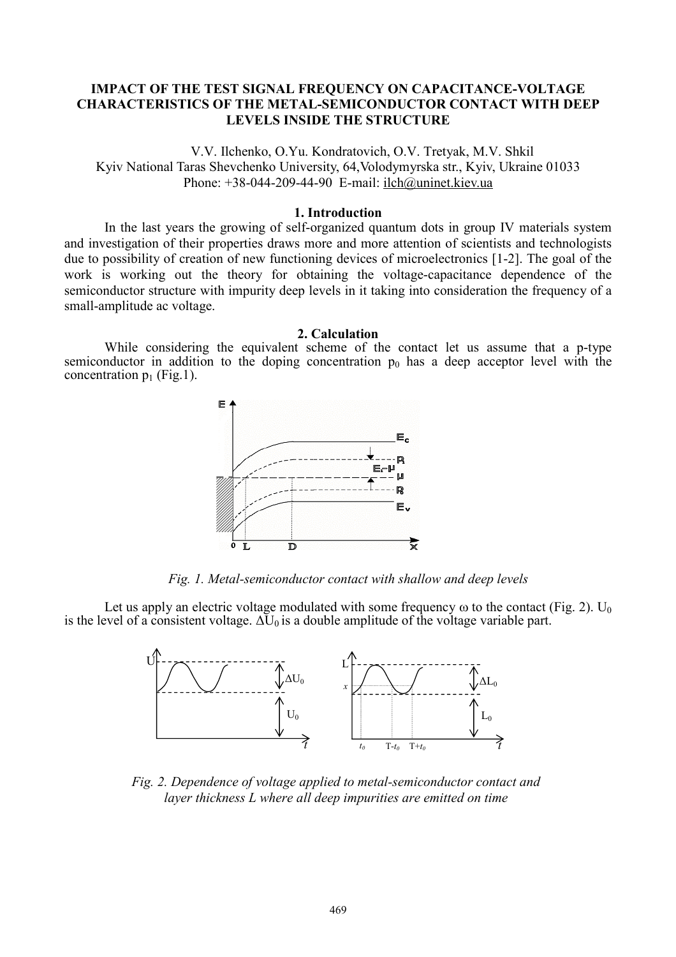# **IMPACT OF THE TEST SIGNAL FREQUENCY ON CAPACITANCE-VOLTAGE CHARACTERISTICS OF THE METAL-SEMICONDUCTOR CONTACT WITH DEEP LEVELS INSIDE THE STRUCTURE**

V.V. Ilchenko, O.Yu. Kondratovich, O.V. Tretyak, M.V. Shkil Kyiv National Taras Shevchenko University, 64,Volodymyrska str., Kyiv, Ukraine 01033 Phone: +38-044-209-44-90 E-mail: [ilch@uninet.kiev.ua](mailto:ilch@uninet.kiev.ua)

#### **1. Introduction**

In the last years the growing of self-organized quantum dots in group IV materials system and investigation of their properties draws more and more attention of scientists and technologists due to possibility of creation of new functioning devices of microelectronics [1-2]. The goal of the work is working out the theory for obtaining the voltage-capacitance dependence of the semiconductor structure with impurity deep levels in it taking into consideration the frequency of a small-amplitude ac voltage.

## **2. Calculation**

While considering the equivalent scheme of the contact let us assume that a p-type semiconductor in addition to the doping concentration  $p_0$  has a deep acceptor level with the concentration  $p_1$  (Fig.1).



*Fig. 1. Metal-semiconductor contact with shallow and deep levels* 

Let us apply an electric voltage modulated with some frequency  $\omega$  to the contact (Fig. 2). U<sub>0</sub> is the level of a consistent voltage.  $\Delta U_0$  is a double amplitude of the voltage variable part.



*Fig. 2. Dependence of voltage applied to metal-semiconductor contact and layer thickness L where all deep impurities are emitted on time*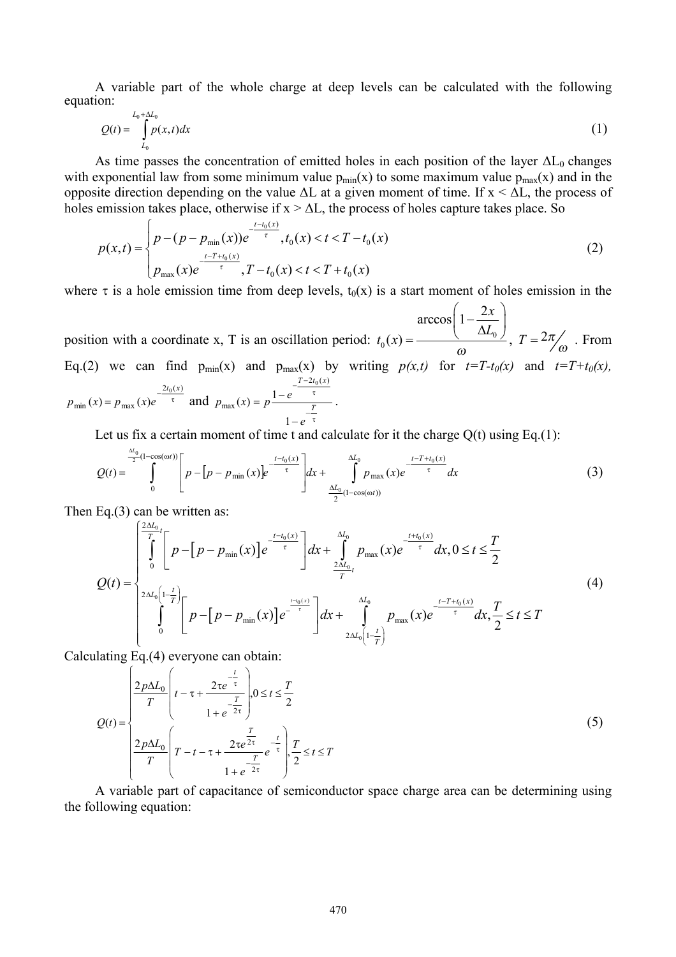A variable part of the whole charge at deep levels can be calculated with the following equation:

$$
Q(t) = \int_{L_0}^{L_0 + \Delta L_0} p(x, t) dx \tag{1}
$$

As time passes the concentration of emitted holes in each position of the layer  $\Delta L_0$  changes with exponential law from some minimum value  $p_{min}(x)$  to some maximum value  $p_{max}(x)$  and in the opposite direction depending on the value  $\Delta L$  at a given moment of time. If  $x < \Delta L$ , the process of holes emission takes place, otherwise if  $x > \Delta L$ , the process of holes capture takes place. So

$$
p(x,t) = \begin{cases} p - (p - p_{\min}(x))e^{-\frac{t - t_0(x)}{\tau}}, t_0(x) < t < T - t_0(x) \\ p_{\max}(x)e^{-\frac{t - T + t_0(x)}{\tau}}, T - t_0(x) < t < T + t_0(x) \end{cases}
$$
(2)

where  $\tau$  is a hole emission time from deep levels,  $t_0(x)$  is a start moment of holes emission in the

position with a coordinate x, T is an oscillation period:  $t_0(x) = \frac{\arccos\left(1 - \frac{2x}{\Delta L_0}\right)}{\omega}$ ,  $T = \frac{2\pi}{\omega}$ . From Eq.(2) we can find  $p_{min}(x)$  and  $p_{max}(x)$  by writing  $p(x,t)$  for  $t=T-t_0(x)$  and  $t=T+t_0(x)$ ,  $p_{\min}(x) = p_{\max}(x)e^{-\frac{2t_0(x)}{\tau}}$  and  $p_{\max}(x) = p\frac{\frac{T-2t_0(x)}{\tau}}{\frac{T}{\tau}}$ .

Let us fix a certain moment of time t and calculate for it the charge  $Q(t)$  using Eq.(1):

$$
Q(t) = \int_{0}^{\frac{\Delta t_0}{2}(1-\cos(\omega t))} \left[ p - \left[ p - p_{\min}(x) \right] e^{-\frac{t-t_0(x)}{\tau}} \right] dx + \int_{\frac{\Delta t_0}{2}(1-\cos(\omega t))}^{\Delta t_0} p_{\max}(x) e^{-\frac{t-T+t_0(x)}{\tau}} dx \tag{3}
$$

Then Eq. $(3)$  can be written as:

$$
Q(t) = \begin{cases} \int_{0}^{\frac{2\Delta t_{0}}{T}} \left[ p - \left[ p - p_{\min}(x) \right] e^{-\frac{t - t_{0}(x)}{\tau}} \right] dx + \int_{\frac{2\Delta t_{0}}{T}t}^{\Delta t_{0}} p_{\max}(x) e^{-\frac{t + t_{0}(x)}{\tau}} dx, 0 \leq t \leq \frac{T}{2} \\ 2\Delta t_{0} \left( 1 - \frac{t}{T} \right) \left[ p - \left[ p - p_{\min}(x) \right] e^{-\frac{t - t_{0}(x)}{\tau}} \right] dx + \int_{\frac{2\Delta t_{0}}{T}t}^{\Delta t_{0}} p_{\max}(x) e^{-\frac{t - T + t_{0}(x)}{\tau}} dx, \frac{T}{2} \leq t \leq T \end{cases}
$$
\n
$$
(4)
$$

Calculating Eq.(4) everyone can obtain:

$$
Q(t) = \begin{cases} \frac{2p\Delta L_0}{T} \left( t - \tau + \frac{2\tau e^{-\frac{t}{\tau}}}{1 + e^{-2\tau}} \right) 0 \le t \le \frac{T}{2} \\ \frac{2p\Delta L_0}{T} \left( T - t - \tau + \frac{2\tau e^{\frac{T}{2\tau}}}{1 + e^{-2\tau}} e^{-\frac{t}{\tau}} \right) \frac{T}{2} \le t \le T \end{cases}
$$
(5)

A variable part of capacitance of semiconductor space charge area can be determining using the following equation: